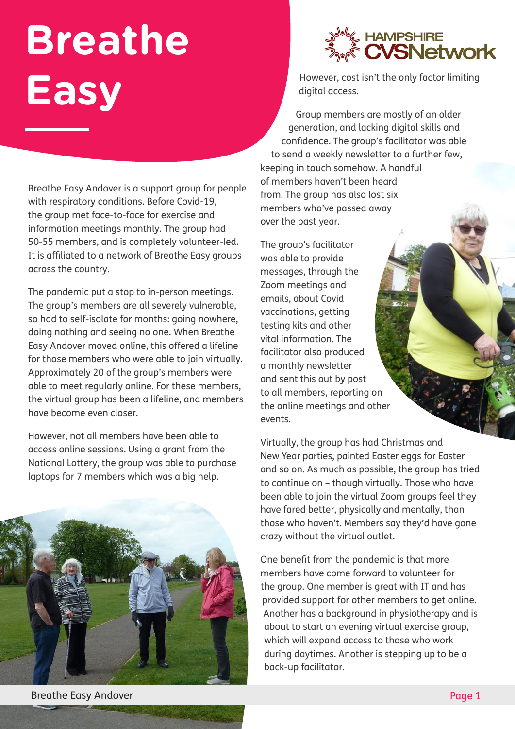## **Breathe Easy**

Breathe Easy Andover is a support group for people with respiratory conditions. Before Covid-19, the group met face-to-face for exercise and information meetings monthly. The group had 50-55 members, and is completely volunteer-led. It is affiliated to a network of Breathe Easy groups across the country.

The pandemic put a stop to in-person meetings. The group's members are all severely vulnerable, so had to self-isolate for months: going nowhere, doing nothing and seeing no one. When Breathe Easy Andover moved online, this offered a lifeline for those members who were able to join virtually. Approximately 20 of the group's members were able to meet regularly online. For these members, the virtual group has been a lifeline, and members have become even closer.

However, not all members have been able to access online sessions. Using a grant from the National Lottery, the group was able to purchase laptops for 7 members which was a big help.





However, cost isn't the only factor limiting digital access.

 Group members are mostly of an older generation, and lacking digital skills and confidence. The group's facilitator was able to send a weekly newsletter to a further few, keeping in touch somehow. A handful of members haven't been heard from. The group has also lost six members who've passed away over the past year.

The group's facilitator was able to provide messages, through the Zoom meetings and emails, about Covid vaccinations, getting testing kits and other vital information. The facilitator also produced a monthly newsletter and sent this out by post to all members, reporting on the online meetings and other events.

Virtually, the group has had Christmas and New Year parties, painted Easter eggs for Easter and so on. As much as possible, the group has tried to continue on – though virtually. Those who have been able to join the virtual Zoom groups feel they have fared better, physically and mentally, than those who haven't. Members say they'd have gone crazy without the virtual outlet.

One benefit from the pandemic is that more members have come forward to volunteer for the group. One member is great with IT and has provided support for other members to get online. Another has a background in physiotherapy and is about to start an evening virtual exercise group, which will expand access to those who work during daytimes. Another is stepping up to be a back-up facilitator.

Breathe Easy Andover Page 1